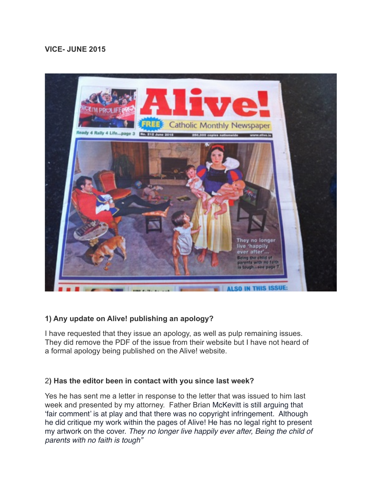# **VICE- JUNE 2015**



# **1) Any update on Alive! publishing an apology?**

I have requested that they issue an apology, as well as pulp remaining issues. They did remove the PDF of the issue from their website but I have not heard of a formal apology being published on the Alive! website.

#### 2**) Has the editor been in contact with you since last week?**

Yes he has sent me a letter in response to the letter that was issued to him last week and presented by my attorney. Father Brian McKevitt is still arguing that 'fair comment' is at play and that there was no copyright infringement. Although he did critique my work within the pages of Alive! He has no legal right to present my artwork on the cover. *They no longer live happily ever after, Being the child of parents with no faith is tough"*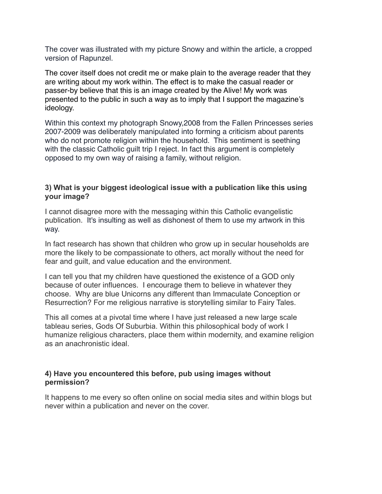The cover was illustrated with my picture Snowy and within the article, a cropped version of Rapunzel.

The cover itself does not credit me or make plain to the average reader that they are writing about my work within. The effect is to make the casual reader or passer-by believe that this is an image created by the Alive! My work was presented to the public in such a way as to imply that I support the magazine's ideology.

Within this context my photograph Snowy,2008 from the Fallen Princesses series 2007-2009 was deliberately manipulated into forming a criticism about parents who do not promote religion within the household. This sentiment is seething with the classic Catholic quilt trip I reject. In fact this argument is completely opposed to my own way of raising a family, without religion.

#### **3) What is your biggest ideological issue with a publication like this using your image?**

I cannot disagree more with the messaging within this Catholic evangelistic publication. It's insulting as well as dishonest of them to use my artwork in this way.

In fact research has shown that children who grow up in secular households are more the likely to be compassionate to others, act morally without the need for fear and guilt, and value education and the environment.

I can tell you that my children have questioned the existence of a GOD only because of outer influences. I encourage them to believe in whatever they choose. Why are blue Unicorns any different than Immaculate Conception or Resurrection? For me religious narrative is storytelling similar to Fairy Tales.

This all comes at a pivotal time where I have just released a new large scale tableau series, Gods Of Suburbia. Within this philosophical body of work I humanize religious characters, place them within modernity, and examine religion as an anachronistic ideal.

#### **4) Have you encountered this before, pub using images without permission?**

It happens to me every so often online on social media sites and within blogs but never within a publication and never on the cover.